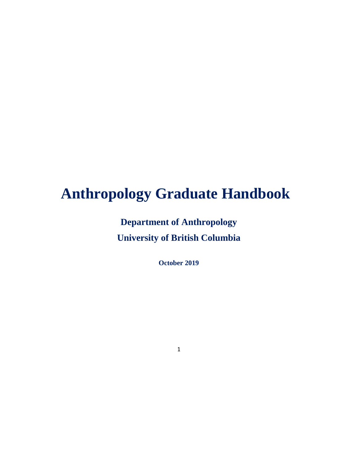# **Anthropology Graduate Handbook**

**Department of Anthropology University of British Columbia** 

**October 2019**

1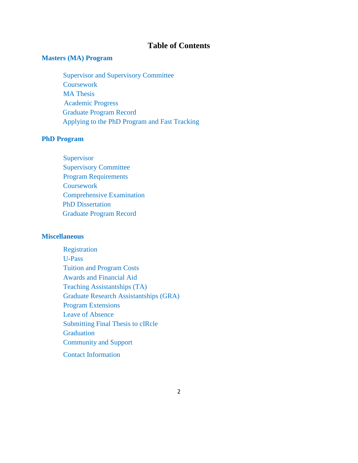#### **Table of Contents**

#### **Masters (MA) Program**

Supervisor and Supervisory Committee **Coursework** MA Thesis Academic Progress Graduate Program Record Applying to the PhD Program and Fast Tracking

#### **PhD Program**

**Supervisor** Supervisory Committee Program Requirements **Coursework** Comprehensive Examination PhD Dissertation Graduate Program Record

#### **Miscellaneous**

Registration U-Pass Tuition and Program Costs Awards and Financial Aid Teaching Assistantships (TA) Graduate Research Assistantships (GRA) Program Extensions Leave of Absence Submitting Final Thesis to cIRcle **Graduation** Community and Support Contact Information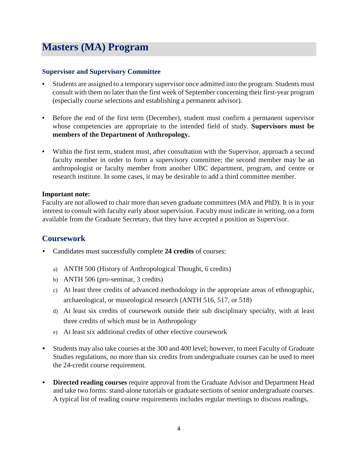## **Masters (MA) Program**

#### **Supervisor and Supervisory Committee**

- Students are assigned to a temporary supervisor once admitted into the program. Students must consult with them no later than the first week of September concerning their first-year program (especially course selections and establishing a permanent advisor).
- Before the end of the first term (December), student must confirm a permanent supervisor whose competencies are appropriate to the intended field of study. **Supervisors must be members of the Department of Anthropology.**
- Within the first term, student must, after consultation with the Supervisor, approach a second faculty member in order to form a supervisory committee; the second member may be an anthropologist or faculty member from another UBC department, program, and centre or research institute. In some cases, it may be desirable to add a third committee member.

#### **Important note:**

Faculty are not allowed to chair more than seven graduate committees (MA and PhD). It is in your interest to consult with faculty early about supervision. Faculty must indicate in writing, on a form available from the Graduate Secretary, that they have accepted a position as Supervisor.

## **Coursework**

- Candidates must successfully complete **24 credits** of courses:
	- a) ANTH 500 (History of Anthropological Thought, 6 credits)
	- b) ANTH 506 (pro-seminar, 3 credits)
	- c) At least three credits of advanced methodology in the appropriate areas of ethnographic, archaeological, or museological research (ANTH 516, 517, or 518)
	- d) At least six credits of coursework outside their sub disciplinary specialty, with at least three credits of which must be in Anthropology
	- e) At least six additional credits of other elective coursework
- Students may also take courses at the 300 and 400 level; however, to meet Faculty of Graduate Studies regulations, no more than six credits from undergraduate courses can be used to meet the 24-credit course requirement.
- **Directed reading courses** require approval from the Graduate Advisor and Department Head and take two forms: stand-alone tutorials or graduate sections of senior undergraduate courses. A typical list of reading course requirements includes regular meetings to discuss readings,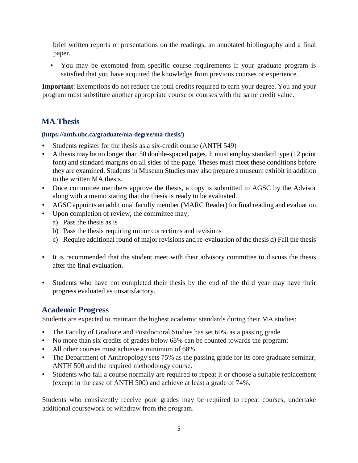brief written reports or presentations on the readings, an annotated bibliography and a final paper.

• You may be exempted from specific course requirements if your graduate program is satisfied that you have acquired the knowledge from previous courses or experience.

**Important**: Exemptions do not reduce the total credits required to earn your degree. You and your program must substitute another appropriate course or courses with the same credit value.

## **MA Thesis**

#### **(https://anth.ubc.ca/graduate/ma-degree/ma-thesis/)**

- Students register for the thesis as a six-credit course (ANTH 549)
- A thesis may be no longer than 50 double-spaced pages. It must employ standard type (12 point font) and standard margins on all sides of the page. Theses must meet these conditions before they are examined. Students in Museum Studies may also prepare a museum exhibit in addition to the written MA thesis.
- Once committee members approve the thesis, a copy is submitted to AGSC by the Advisor along with a memo stating that the thesis is ready to be evaluated.
- AGSC appoints an additional faculty member (MARC Reader) for final reading and evaluation.
- Upon completion of review, the committee may;
	- a) Pass the thesis as is
	- b) Pass the thesis requiring minor corrections and revisions
	- c) Require additional round of major revisions and re-evaluation of the thesis d) Fail the thesis
- It is recommended that the student meet with their advisory committee to discuss the thesis after the final evaluation.
- Students who have not completed their thesis by the end of the third year may have their progress evaluated as unsatisfactory.

## **Academic Progress**

Students are expected to maintain the highest academic standards during their MA studies:

- The Faculty of Graduate and Postdoctoral Studies has set 60% as a passing grade.
- No more than six credits of grades below 68% can be counted towards the program;
- All other courses must achieve a minimum of 68%.
- The Department of Anthropology sets 75% as the passing grade for its core graduate seminar, ANTH 500 and the required methodology course.
- Students who fail a course normally are required to repeat it or choose a suitable replacement (except in the case of ANTH 500) and achieve at least a grade of 74%.

Students who consistently receive poor grades may be required to repeat courses, undertake additional coursework or withdraw from the program.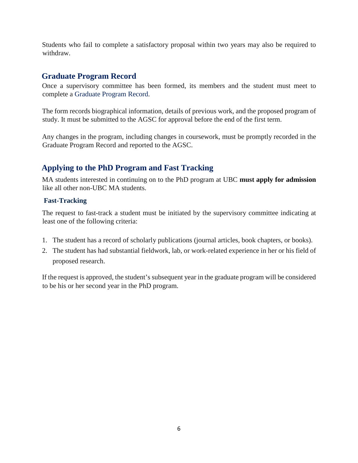Students who fail to complete a satisfactory proposal within two years may also be required to withdraw.

#### **Graduate Program Record**

Once a supervisory committee has been formed, its members and the student must meet to complete a [Graduate Program Record.](https://anth.sites.olt.ubc.ca/files/2013/02/Anth_ProgramRecord_MA_Writable.pdf)

The form records biographical information, details of previous work, and the proposed program of study. It must be submitted to the AGSC for approval before the end of the first term.

Any changes in the program, including changes in coursework, must be promptly recorded in the Graduate Program Record and reported to the AGSC.

## **Applying to the PhD Program and Fast Tracking**

MA students interested in continuing on to the PhD program at UBC **must apply for admission** like all other non-UBC MA students.

#### **Fast-Tracking**

The request to fast-track a student must be initiated by the supervisory committee indicating at least one of the following criteria:

- 1. The student has a record of scholarly publications (journal articles, book chapters, or books).
- 2. The student has had substantial fieldwork, lab, or work-related experience in her or his field of proposed research.

If the request is approved, the student's subsequent year in the graduate program will be considered to be his or her second year in the PhD program.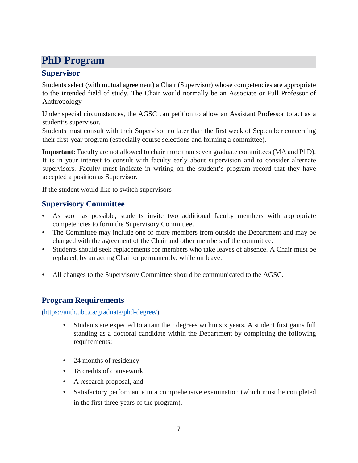## **PhD Program**

## **Supervisor**

Students select (with mutual agreement) a Chair (Supervisor) whose competencies are appropriate to the intended field of study. The Chair would normally be an Associate or Full Professor of Anthropology

Under special circumstances, the AGSC can petition to allow an Assistant Professor to act as a student's supervisor.

Students must consult with their Supervisor no later than the first week of September concerning their first-year program (especially course selections and forming a committee).

**Important:** Faculty are not allowed to chair more than seven graduate committees (MA and PhD). It is in your interest to consult with faculty early about supervision and to consider alternate supervisors. Faculty must indicate in writing on the student's program record that they have accepted a position as Supervisor.

If the student would like to switch supervisors

## **Supervisory Committee**

- As soon as possible, students invite two additional faculty members with appropriate competencies to form the Supervisory Committee.
- The Committee may include one or more members from outside the Department and may be changed with the agreement of the Chair and other members of the committee.
- Students should seek replacements for members who take leaves of absence. A Chair must be replaced, by an acting Chair or permanently, while on leave.
- All changes to the Supervisory Committee should be communicated to the AGSC.

## **Program Requirements**

[\(https://anth.ubc.ca/graduate/phd-degree/\)](https://anth.ubc.ca/graduate/phd-degree/)

- Students are expected to attain their degrees within six years. A student first gains full standing as a doctoral candidate within the Department by completing the following requirements:
- 24 months of residency
- 18 credits of coursework
- A research proposal, and
- Satisfactory performance in a comprehensive examination (which must be completed in the first three years of the program).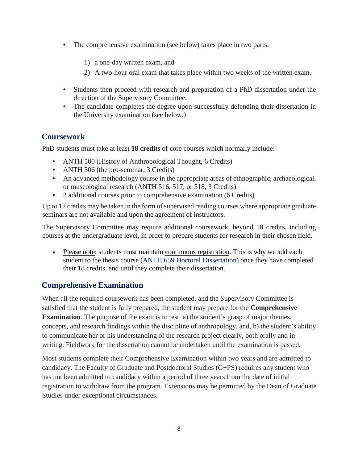- The comprehensive examination (see below) takes place in two parts:
	- 1) a one-day written exam, and
	- 2) A two-hour oral exam that takes place within two weeks of the written exam.
- Students then proceed with research and preparation of a PhD dissertation under the direction of the Supervisory Committee.
- The candidate completes the degree upon successfully defending their dissertation in the University examination (see below.)

## **Coursework**

PhD students must take at least **18 credits** of core courses which normally include:

- ANTH 500 (History of Anthropological Thought, 6 Credits)
- ANTH 506 (the pro-seminar, 3 Credits)
- An advanced methodology course in the appropriate areas of ethnographic, archaeological, or museological research (ANTH 516, 517, or 518, 3 Credits)
- 2 additional courses prior to comprehensive examination (6 Credits)

Up to 12 credits may be taken in the form of supervised reading courses where appropriate graduate seminars are not available and upon the agreement of instructors.

The Supervisory Committee may require additional coursework, beyond 18 credits, including courses at the undergraduate level, in order to prepare students for research in their chosen field.

• Please note: students must maintain [continuous registration.](https://www.grad.ubc.ca/current-students/student-responsibilities/continuous-registration) This is why we add each student to the thesis course (ANTH 659 Doctoral Dissertation) once they have completed their 18 credits, and until they complete their dissertation.

## **Comprehensive Examination**

When all the required coursework has been completed, and the Supervisory Committee is satisfied that the student is fully prepared, the student may prepare for the **Comprehensive Examination**. The purpose of the exam is to test: a) the student's grasp of major themes, concepts, and research findings within the discipline of anthropology, and, b) the student's ability to communicate her or his understanding of the research project clearly, both orally and in writing. Fieldwork for the dissertation cannot be undertaken until the examination is passed.

Most students complete their Comprehensive Examination within two years and are admitted to candidacy. The Faculty of Graduate and Postdoctoral Studies (G+PS) requires any student who has not been admitted to candidacy within a period of three years from the date of initial registration to withdraw from the program. Extensions may be permitted by the Dean of Graduate Studies under exceptional circumstances.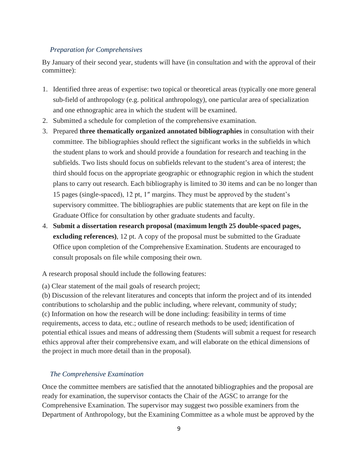#### *Preparation for Comprehensives*

By January of their second year, students will have (in consultation and with the approval of their committee):

- 1. Identified three areas of expertise: two topical or theoretical areas (typically one more general sub-field of anthropology (e.g. political anthropology), one particular area of specialization and one ethnographic area in which the student will be examined.
- 2. Submitted a schedule for completion of the comprehensive examination.
- 3. Prepared **three thematically organized annotated bibliographies** in consultation with their committee. The bibliographies should reflect the significant works in the subfields in which the student plans to work and should provide a foundation for research and teaching in the subfields. Two lists should focus on subfields relevant to the student's area of interest; the third should focus on the appropriate geographic or ethnographic region in which the student plans to carry out research. Each bibliography is limited to 30 items and can be no longer than 15 pages (single-spaced), 12 pt, 1″ margins. They must be approved by the student's supervisory committee. The bibliographies are public statements that are kept on file in the Graduate Office for consultation by other graduate students and faculty.
- 4. **Submit a dissertation research proposal (maximum length 25 double-spaced pages, excluding references)**, 12 pt. A copy of the proposal must be submitted to the Graduate Office upon completion of the Comprehensive Examination. Students are encouraged to consult proposals on file while composing their own.

A research proposal should include the following features:

(a) Clear statement of the mail goals of research project;

(b) Discussion of the relevant literatures and concepts that inform the project and of its intended contributions to scholarship and the public including, where relevant, community of study; (c) Information on how the research will be done including: feasibility in terms of time requirements, access to data, etc.; outline of research methods to be used; identification of potential ethical issues and means of addressing them (Students will submit a request for research ethics approval after their comprehensive exam, and will elaborate on the ethical dimensions of the project in much more detail than in the proposal).

#### *The Comprehensive Examination*

Once the committee members are satisfied that the annotated bibliographies and the proposal are ready for examination, the supervisor contacts the Chair of the AGSC to arrange for the Comprehensive Examination. The supervisor may suggest two possible examiners from the Department of Anthropology, but the Examining Committee as a whole must be approved by the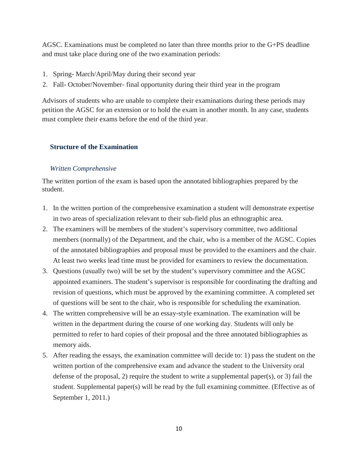AGSC. Examinations must be completed no later than three months prior to the G+PS deadline and must take place during one of the two examination periods:

- 1. Spring- March/April/May during their second year
- 2. Fall- October/November- final opportunity during their third year in the program

Advisors of students who are unable to complete their examinations during these periods may petition the AGSC for an extension or to hold the exam in another month. In any case, students must complete their exams before the end of the third year.

#### **Structure of the Examination**

#### *Written Comprehensive*

The written portion of the exam is based upon the annotated bibliographies prepared by the student.

- 1. In the written portion of the comprehensive examination a student will demonstrate expertise in two areas of specialization relevant to their sub-field plus an ethnographic area.
- 2. The examiners will be members of the student's supervisory committee, two additional members (normally) of the Department, and the chair, who is a member of the AGSC. Copies of the annotated bibliographies and proposal must be provided to the examiners and the chair. At least two weeks lead time must be provided for examiners to review the documentation.
- 3. Questions (usually two) will be set by the student's supervisory committee and the AGSC appointed examiners. The student's supervisor is responsible for coordinating the drafting and revision of questions, which must be approved by the examining committee. A completed set of questions will be sent to the chair, who is responsible for scheduling the examination.
- 4. The written comprehensive will be an essay-style examination. The examination will be written in the department during the course of one working day. Students will only be permitted to refer to hard copies of their proposal and the three annotated bibliographies as memory aids.
- 5. After reading the essays, the examination committee will decide to: 1) pass the student on the written portion of the comprehensive exam and advance the student to the University oral defense of the proposal, 2) require the student to write a supplemental paper(s), or 3) fail the student. Supplemental paper(s) will be read by the full examining committee. (Effective as of September 1, 2011.)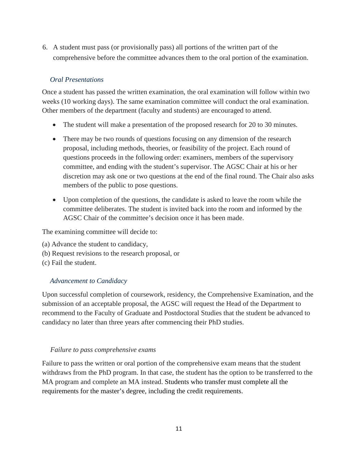6. A student must pass (or provisionally pass) all portions of the written part of the comprehensive before the committee advances them to the oral portion of the examination.

#### *Oral Presentations*

Once a student has passed the written examination, the oral examination will follow within two weeks (10 working days). The same examination committee will conduct the oral examination. Other members of the department (faculty and students) are encouraged to attend.

- The student will make a presentation of the proposed research for 20 to 30 minutes.
- There may be two rounds of questions focusing on any dimension of the research proposal, including methods, theories, or feasibility of the project. Each round of questions proceeds in the following order: examiners, members of the supervisory committee, and ending with the student's supervisor. The AGSC Chair at his or her discretion may ask one or two questions at the end of the final round. The Chair also asks members of the public to pose questions.
- Upon completion of the questions, the candidate is asked to leave the room while the committee deliberates. The student is invited back into the room and informed by the AGSC Chair of the committee's decision once it has been made.

The examining committee will decide to:

- (a) Advance the student to candidacy,
- (b) Request revisions to the research proposal, or
- (c) Fail the student.

#### *Advancement to Candidacy*

Upon successful completion of coursework, residency, the Comprehensive Examination, and the submission of an acceptable proposal, the AGSC will request the Head of the Department to recommend to the Faculty of Graduate and Postdoctoral Studies that the student be advanced to candidacy no later than three years after commencing their PhD studies.

#### *Failure to pass comprehensive exams*

Failure to pass the written or oral portion of the comprehensive exam means that the student withdraws from the PhD program. In that case, the student has the option to be transferred to the MA program and complete an MA instead. Students who transfer must complete all the requirements for the master's degree, including the credit requirements.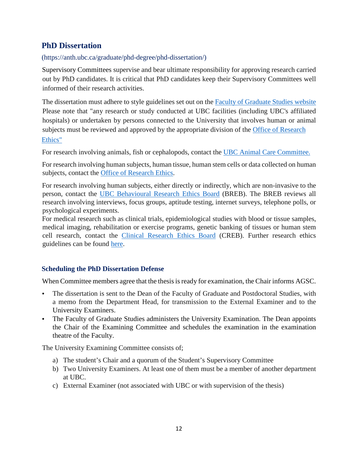## **PhD Dissertation**

#### (https://anth.ubc.ca/graduate/phd-degree/phd-dissertation/)

[Supervisory Committees](https://anth.sites.olt.ubc.ca/graduate/current-students/supervisory-committee/) [s](https://anth.sites.olt.ubc.ca/graduate/current-students/supervisory-committee/)upervise and bear ultimate responsibility for approving research carried out by PhD candidates. It is critical that PhD candidates keep their Supervisory Committees well informed of their research activities.

The dissertation must adhere to style guidelines set out on the [Faculty of Graduate](https://www.grad.ubc.ca/current-students/dissertation-thesis-preparation/style-guides-computer-tools) Studies websit[e](https://www.grad.ubc.ca/current-students/dissertation-thesis-preparation/style-guides-computer-tools) Please note that "any research or study conducted at UBC facilities (including UBC's affiliated hospitals) or undertaken by persons connected to the University that involves human or animal subjects must be reviewed and approved by the appropriate division of the [Office of Research](https://ethics.research.ubc.ca/) [Ethics"](https://ethics.research.ubc.ca/)

For research involving animals, fish or cephalopods, contact the [UBC Animal Care Committee.](https://animalcare.ubc.ca/)

For research involving human subjects, human tissue, human stem cells or data collected on human subjects, contact the [Office of Research Ethics.](https://ethics.research.ubc.ca/)

For research involving human subjects, either directly or indirectly, which are non-invasive to the person, contact the [UBC Behavioural Research Ethics Board](https://ethics.research.ubc.ca/behavioural-research-ethics) [\(](https://ethics.research.ubc.ca/behavioural-research-ethics)BREB). The BREB reviews all research involving interviews, focus groups, aptitude testing, internet surveys, telephone polls, or psychological experiments.

For medical research such as clinical trials, epidemiological studies with blood or tissue samples, medical imaging, rehabilitation or exercise programs, genetic banking of tissues or human stem cell research, contact the [Clinical Research Ethics Board](https://ethics.research.ubc.ca/clinical-research-ethics) [\(](https://ethics.research.ubc.ca/clinical-research-ethics)CREB). Further research ethics guidelines can be found [here.](https://www.grad.ubc.ca/current-students/dissertation-thesis-preparation/ethical-issues)

#### **Scheduling the PhD Dissertation Defense**

When Committee members agree that the thesis is ready for examination, the Chair informs AGSC.

- The dissertation is sent to the Dean of the Faculty of Graduate and Postdoctoral Studies, with a memo from the Department Head, for transmission to the External Examiner and to the University Examiners.
- The Faculty of Graduate Studies administers the University Examination. The Dean appoints the Chair of the Examining Committee and schedules the examination in the examination theatre of the Faculty.

The University Examining Committee consists of;

- a) The student's Chair and a quorum of the Student's Supervisory Committee
- b) Two University Examiners. At least one of them must be a member of another department at UBC.
- c) External Examiner (not associated with UBC or with supervision of the thesis)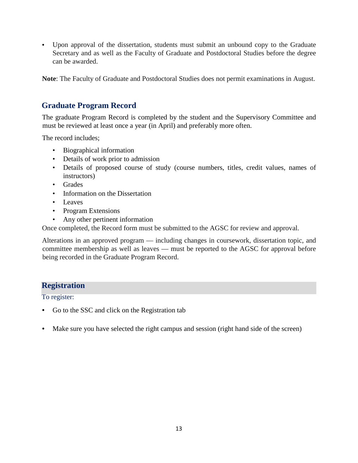• Upon approval of the dissertation, students must submit an unbound copy to the Graduate Secretary and as well as the Faculty of Graduate and Postdoctoral Studies before the degree can be awarded.

**Note**: The Faculty of Graduate and Postdoctoral Studies does not permit examinations in August.

## **Graduate Program Record**

The graduate Program Record is completed by the student and the Supervisory Committee and must be reviewed at least once a year (in April) and preferably more often.

The record includes;

- Biographical information
- Details of work prior to admission
- Details of proposed course of study (course numbers, titles, credit values, names of instructors)
- Grades
- Information on the Dissertation
- Leaves
- Program Extensions
- Any other pertinent information

Once completed, the Record form must be submitted to the AGSC for review and approval.

Alterations in an approved program — including changes in coursework, dissertation topic, and committee membership as well as leaves — must be reported to the AGSC for approval before being recorded in the Graduate Program Record.

## **Registration**

To register:

- Go to the SSC and click on the Registration tab
- Make sure you have selected the right campus and session (right hand side of the screen)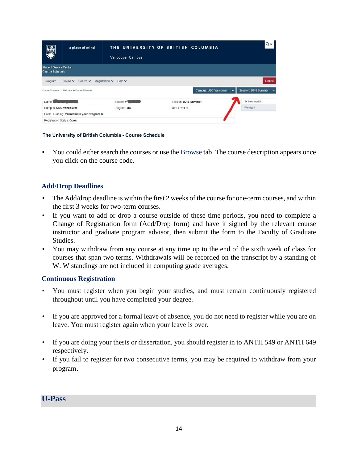| <b>UBC</b><br>KWWZ                                      | a place of mind                              | <b>Vancouver Campus</b>            | THE UNIVERSITY OF BRITISH COLUMBIA | Qv                                                   |
|---------------------------------------------------------|----------------------------------------------|------------------------------------|------------------------------------|------------------------------------------------------|
| <b>Student Service Centre</b><br><b>Course Schedule</b> |                                              |                                    |                                    |                                                      |
| Program                                                 | Browse $\vee$<br>Search $\vee$               | Registration $\vee$<br>Help $\vee$ |                                    | Logout                                               |
|                                                         | Course Schedule / Welcome to Course Schedule |                                    | Campus: UBC Vancouver              | Session: 2018 Summer<br>$\checkmark$<br>$\checkmark$ |
| Name:                                                   |                                              | Student #:                         | Session: 2018 Summer               | <b>O</b> New Worklist                                |
| Campus: UBC Vancouver                                   |                                              | Program: BA                        | Year Level: 1                      | Worklist 1                                           |
|                                                         | Cr/D/F Grading: Permitted in your Program @  |                                    |                                    |                                                      |
| Registration Status: Open                               |                                              |                                    |                                    |                                                      |

#### The University of British Columbia - Course Schedule

• You could either search the courses or use the [Browse](https://courses.students.ubc.ca/cs/main?sessyr=2018&sesscd=W) tab. The course description appears once you click on the course code.

#### **Add/Drop Deadlines**

- The Add/drop deadline is within the first 2 weeks of the course for one-term courses, and within the first 3 weeks for two-term courses.
- If you want to add or drop a course outside of these time periods, you need to complete [a](https://www.grad.ubc.ca/sites/default/files/forms/change_of_registration.pdf) [Change of Registration form](https://www.grad.ubc.ca/sites/default/files/forms/change_of_registration.pdf) [\(A](https://www.grad.ubc.ca/sites/default/files/forms/change_of_registration.pdf)dd/Drop form) and have it signed by the relevant course instructor and graduate program advisor, then submit the form to the Faculty of Graduate Studies.
- You may withdraw from any course at any time up to the end of the sixth week of class for courses that span two terms. Withdrawals will be recorded on the transcript by a standing of W. W standings are not included in computing grade averages.

#### **Continuous Registration**

- You must register when you begin your studies, and must remain continuously registered throughout until you have completed your degree.
- If you are approved for a formal leave of absence, you do not need to register while you are on leave. You must register again when your leave is over.
- If you are doing your thesis or dissertation, you should register in to ANTH 549 or ANTH 649 respectively.
- If you fail to register for two consecutive terms, you may be required to withdraw from your program.

#### **U-Pass**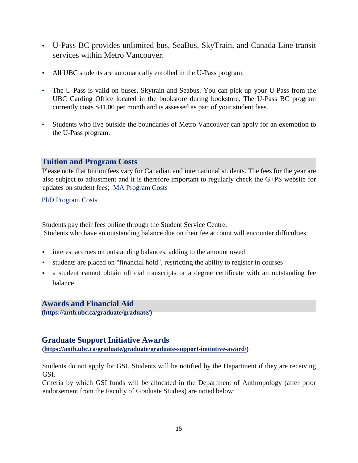- U-Pass BC provides unlimited bus, SeaBus, SkyTrain, and Canada Line transit services within Metro Vancouver.
- All UBC students are automatically enrolled in the U-Pass program.
- The U-Pass is valid on buses, Skytrain and Seabus. You can pick up your U-Pass from the UBC Carding Office located in the bookstore during bookstore. The U-Pass BC program currently costs \$41.00 per month and is assessed as part of your student fees.
- Students who live outside the boundaries of Metro Vancouver can apply for an exemption to the U-Pass program.

## **Tuition and Program Costs**

Please note that tuition fees vary for Canadian and international students. The fees for the year are also subject to adjustment and it is therefore important to regularly check the G+PS website for updates on student fees; [MA Program Costs](http://www.grad.ubc.ca/prospective-students/graduate-degree-programs/master-of-arts-anthropology#group-tuition) 

#### [PhD Program Costs](http://www.grad.ubc.ca/prospective-students/graduate-degree-programs/phd-anthropology#group-tuition)

Students pay their fees online through the Student Service Centre. Students who have an outstanding balance due on their fee account will encounter difficulties:

- interest accrues on outstanding balances, adding to the amount owed
- students are placed on "financial hold", restricting the ability to register in courses
- a student cannot obtain official transcripts or a degree certificate with an outstanding fee balance

## **Awards and Financial Aid**

**(https://anth.ubc.ca/graduate/graduate/)** 

## **Graduate Support Initiative Awards**

**[\(https://anth.ubc.ca/graduate/graduate/graduate-support-initiative-award/\)](https://anth.ubc.ca/graduate/graduate/graduate-support-initiative-award/)**

Students do not apply for GSI. Students will be notified by the Department if they are receiving GSI.

Criteria by which GSI funds will be allocated in the Department of Anthropology (after prior endorsement from the Faculty of Graduate Studies) are noted below: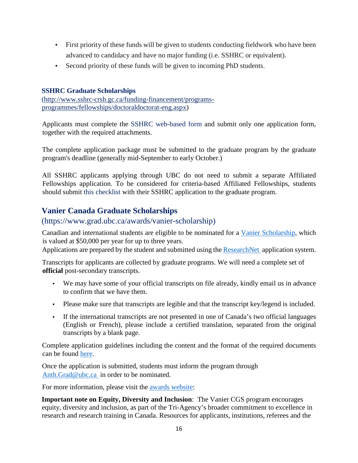- First priority of these funds will be given to students conducting fieldwork who have been advanced to candidacy and have no major funding (i.e. SSHRC or equivalent).
- Second priority of these funds will be given to incoming PhD students.

#### **SSHRC Graduate Scholarships**

[\(http://www.sshrc-crsh.gc.ca/funding-financement/programs](http://www.sshrc-crsh.gc.ca/funding-financement/programs-programmes/fellowships/doctoral-doctorat-eng.aspx)[programmes/fellowships/doctoraldoctorat-eng.aspx\)](http://www.sshrc-crsh.gc.ca/funding-financement/programs-programmes/fellowships/doctoral-doctorat-eng.aspx)

Applicants must complete the [SSHRC web-based form](https://webapps.nserc.ca/SSHRC/faces/logonFellowships.jsp) and submit only one application form, together with the required attachments.

The complete application package must be submitted to the graduate program by the graduate program's deadline (generally mid-September to early October.)

All SSHRC applicants applying through UBC do not need to submit a separate Affiliated Fellowships application. To be considered for criteria-based Affiliated Fellowships, students should submit [this checklist](https://www.grad.ubc.ca/sites/default/files/awards/awards_affiliated_criteria-based.docx) with their SSHRC application to the graduate program.

## **Vanier Canada Graduate Scholarships**

## (https://www.grad.ubc.ca/awards/vanier-scholarship)

Canadian and international students are eligible to be nominated for a [Vanier Scholarship,](https://www.grad.ubc.ca/awards/vanier-scholarship) which is valued at \$50,000 per year for up to three years.

Applications are prepared by the student and submitted using the [ResearchNet a](https://www.researchnet-recherchenet.ca/rnr16/LoginServlet)pplication system.

Transcripts for applicants are collected by graduate programs. We will need a complete set of **official** post-secondary transcripts.

- We may have some of your official transcripts on file already, kindly email us in advance to confirm that we have them.
- Please make sure that transcripts are legible and that the transcript key/legend is included.
- If the international transcripts are not presented in one of Canada's two official languages (English or French), please include a certified translation, separated from the original transcripts by a blank page.

Complete application guidelines including the content and the format of the required documents can be found [here.](http://www.vanier.gc.ca/en/nomination_process-processus_de_mise_en_candidature.html)

Once the application is submitted, students must inform the program through Anth.Grad@ubc.ca in order to be nominated.

For more information, please visit the [awards website:](https://www.grad.ubc.ca/awards/vanier-scholarship)

**Important note on Equity, Diversity and Inclusion**: The Vanier CGS program encourages equity, diversity and inclusion, as part of the Tri-Agency's broader commitment to excellence in research and research training in Canada. Resources for applicants, institutions, referees and the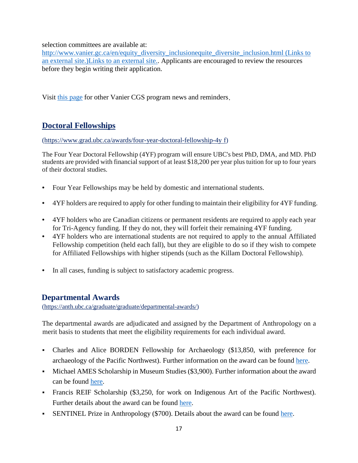selection committees are available at:

http://www.vanier.gc.ca/en/equity\_diversity\_inclusionequite\_diversite\_inclusion.html (Links to [an external site.\)Links to an external site..](http://www.vanier.gc.ca/en/equity_diversity_inclusion-equite_diversite_inclusion.html) Applicants are encouraged to review the resources before they begin writing their application.

Visit [this page](http://www.vanier.gc.ca/en/news-nouv_2018-19.html%20(Links%20to%20an%20external%20site.)Links%20to%20an%20external%20site.) [f](http://www.vanier.gc.ca/en/news-nouv_2018-19.html%20(Links%20to%20an%20external%20site.)Links%20to%20an%20external%20site.)or other Vanier CGS program news and reminders.

## **[Doctoral Fellowships](https://www.grad.ubc.ca/awards/four-year-doctoral-fellowship-4yf)**

[\(https://www.grad.ubc.ca/awards/four-year-doctoral-fellowship-4y](https://www.grad.ubc.ca/awards/four-year-doctoral-fellowship-4yf) [f\)](https://www.grad.ubc.ca/awards/four-year-doctoral-fellowship-4yf)

The Four Year Doctoral Fellowship (4YF) program will ensure UBC's best PhD, DMA, and MD. PhD students are provided with financial support of at least \$18,200 per year plus tuition for up to four years of their doctoral studies.

- Four Year Fellowships may be held by domestic and international students.
- 4YF holders are required to apply for other funding to maintain their eligibility for 4YF funding.
- 4YF holders who are Canadian citizens or permanent residents are required to apply each year for Tri-Agency funding. If they do not, they will forfeit their remaining 4YF funding.
- 4YF holders who are international students are not required to apply to the annual Affiliated Fellowship competition (held each fall), but they are eligible to do so if they wish to compete for Affiliated Fellowships with higher stipends (such as the Killam Doctoral Fellowship).
- In all cases, funding is subject to satisfactory academic progress.

## **Departmental Awards**

[\(https://anth.ubc.ca/graduate/graduate/departmental-awards/\)](https://anth.ubc.ca/graduate/graduate/departmental-awards/)

The departmental awards are adjudicated and assigned by the Department of Anthropology on a merit basis to students that meet the eligibility requirements for each individual award.

- Charles and Alice BORDEN Fellowship for Archaeology (\$13,850, with preference for archaeology of the Pacific Northwest). Further information on the award can be found [here.](https://secure.students.ubc.ca/enrolment/finances/awardssearch.cfm?page=search&session=2017W&campus=UBCV&level=All&ID=409)
- Michael AMES Scholarship in Museum Studies (\$3,900). Further information about the award can be found [here.](https://secure.students.ubc.ca/enrolment/finances/awardssearch.cfm?page=search&session=2017W&campus=UBCV&level=All&ID=1296)
- Francis REIF Scholarship (\$3,250, for work on Indigenous Art of the Pacific Northwest). Further details about the award can be found here.
- SENTINEL Prize in Anthropology (\$700). Details about the award can be found here.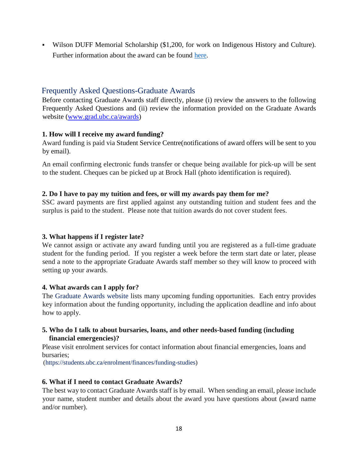Wilson DUFF Memorial Scholarship (\$1,200, for work on Indigenous History and Culture). Further information about the award can be found here.

### Frequently Asked Questions-Graduate Awards

Before contacting Graduate Awards staff directly, please (i) review the answers to the following Frequently Asked Questions and (ii) review the information provided on the Graduate Awards website [\(www.grad.ubc.ca/awards\)](http://www.grad.ubc.ca/awards)

#### **1. How will I receive my award funding?**

Award funding is paid via Student Service Centre(notifications of award offers will be sent to you by email).

An email confirming electronic funds transfer or cheque being available for pick-up will be sent to the student. Cheques can be picked up at Brock Hall (photo identification is required).

#### **2. [Do I have to pay my tuition and fees, or will my awards pay them for me?](https://www.grad.ubc.ca/scholarships-awards-funding/awards-faq#FAQ-panel_pane_3-2)**

SSC award payments are first applied against any outstanding tuition and student fees and the surplus is paid to the student. Please note that tuition awards do not cover student fees.

#### **3. [What happens if I register late?](https://www.grad.ubc.ca/scholarships-awards-funding/awards-faq#FAQ-panel_pane_3-3)**

We cannot assign or activate any award funding until you are registered as a full-time graduate student for the funding period. If you register a week before the term start date or later, please send a note to the appropriate Graduate Awards staff member so they will know to proceed with setting up your awards.

#### **4. What awards can I apply for?**

The [Graduate Awards website](https://www.grad.ubc.ca/scholarships-awards-funding) lists many upcoming funding opportunities. Each entry provides key information about the funding opportunity, including the application deadline and info about how to apply.

#### **5. [Who do I talk to about bursaries, loans, and other needs-based funding \(including](https://www.grad.ubc.ca/scholarships-awards-funding/awards-faq#FAQ-panel_pane_3-5)  [financial emergencies\)?](https://www.grad.ubc.ca/scholarships-awards-funding/awards-faq#FAQ-panel_pane_3-5)**

Please visit enrolment services for contact information about financial emergencies, loans and bursaries;

(https://students.ubc.ca/enrolment/finances/funding-studies)

#### **6. [What if I need to contact Graduate Awards?](https://www.grad.ubc.ca/scholarships-awards-funding/awards-faq#FAQ-panel_pane_3-6)**

The best way to contact Graduate Awards staff is by email. When sending an email, please include your name, student number and details about the award you have questions about (award name and/or number).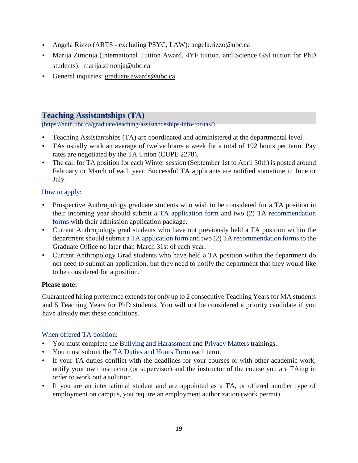- Angela Rizzo (ARTS excluding PSYC, LAW): angela.rizzo@ubc.ca
- Marija Zimonja (International Tuition Award, 4YF tuition, and Science GSI tuition for PhD students): marija.zimonja@ubc.ca
- General inquiries: graduate.awards@ubc.ca

#### **Teaching Assistantships (TA)**

(https://anth.ubc.ca/graduate/teaching-assistanceships-info-for-tas/)

- Teaching Assistantships (TA) are coordinated and administered at the departmental level.
- TAs usually work an average of twelve hours a week for a total of 192 hours per term. Pay rates are negotiated by the TA Union (CUPE 2278).
- The call for TA position for each Winter session (September 1st to April 30th) is posted around February or March of each year. Successful TA applicants are notified sometime in June or July.

#### How to apply:

- Prospective Anthropology graduate students who wish to be considered for a TA position in their incoming year should submit a [TA application form](https://anth.sites.olt.ubc.ca/files/2018/04/TA-Application-Form-2018_writable_web.pdf) and two (2) TA [recommendation](https://anth.sites.olt.ubc.ca/files/2018/04/TA-Rec-Form-2018_writable_web.pdf)  [forms](https://anth.sites.olt.ubc.ca/files/2018/04/TA-Rec-Form-2018_writable_web.pdf) [w](https://anth.sites.olt.ubc.ca/files/2018/04/TA-Rec-Form-2018_writable_web.pdf)ith their admission application package.
- Current Anthropology grad students who have not previously held a TA position within the department should submit a [TA application form a](https://anth.sites.olt.ubc.ca/files/2018/04/TA-Application-Form-2018_writable_web.pdf)nd two (2) TA [recommendation forms](https://anth.sites.olt.ubc.ca/files/2018/04/TA-Rec-Form-2018_writable_web.pdf) to the Graduate Office no later than March 31st of each year.
- Current Anthropology Grad students who have held a TA position within the department do not need to submit an application, but they need to notify the department that they would like to be considered for a position.

#### **Please note:**

Guaranteed hiring preference extends for only up to 2 consecutive Teaching Years for MA students and 5 Teaching Years for PhD students. You will not be considered a priority candidate if you have already met these conditions.

#### When offered TA position:

- You must complete th[e](https://bullyingandharassment.ubc.ca/training-events/) [Bullying and Harassment](https://bullyingandharassment.ubc.ca/training-events/) and [Privacy Matters t](https://privacymatters.ubc.ca/fundamentals-training)rainings.
- You must submit the [TA Duties and Hours Form](https://anth.sites.olt.ubc.ca/files/2018/04/TA-Duties-and-Hours-2018_web.pdf) [e](https://anth.sites.olt.ubc.ca/files/2018/04/TA-Duties-and-Hours-2018_web.pdf)ach term.
- If your TA duties conflict with the deadlines for your courses or with other academic work, notify your own instructor (or supervisor) and the instructor of the course you are TAing in order to work out a solution.
- If you are an international student and are appointed as a TA, or offered another type of employment on campus, you require an employment authorization (work permit).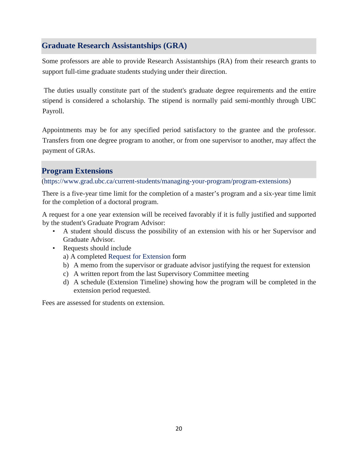## **Graduate Research Assistantships (GRA)**

Some professors are able to provide Research Assistantships (RA) from their research grants to support full-time graduate students studying under their direction.

The duties usually constitute part of the student's graduate degree requirements and the entire stipend is considered a scholarship. The stipend is normally paid semi-monthly through UBC Payroll.

Appointments may be for any specified period satisfactory to the grantee and the professor. Transfers from one degree program to another, or from one supervisor to another, may affect the payment of GRAs.

## **Program Extensions**

(https://www.grad.ubc.ca/current-students/managing-your-program/program-extensions)

There is a five-year time limit for the completion of a master's program and a six-year time limit for the completion of a doctoral program.

A request for a one year extension will be received favorably if it is fully justified and supported by the student's Graduate Program Advisor:

- A student should discuss the possibility of an extension with his or her Supervisor and Graduate Advisor.
- Requests should include
	- a) A completed [Request for Extension](https://www.grad.ubc.ca/sites/default/files/forms/extension_to_program.pdf) [f](https://www.grad.ubc.ca/sites/default/files/forms/extension_to_program.pdf)orm
	- b) A memo from the supervisor or graduate advisor justifying the request for extension
	- c) A written report from the last Supervisory Committee meeting
	- d) A schedule (Extension Timeline) showing how the program will be completed in the extension period requested.

Fees are assessed for students on extension.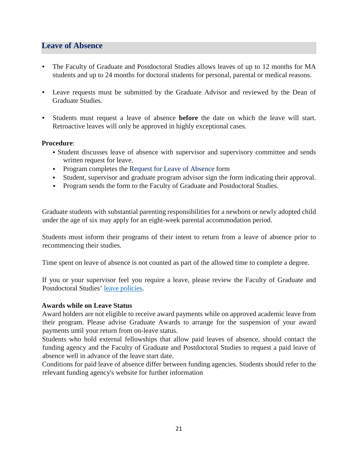## **Leave of Absence**

- The Faculty of Graduate and Postdoctoral Studies allows leaves of up to 12 months for MA students and up to 24 months for doctoral students for personal, parental or medical reasons.
- Leave requests must be submitted by the Graduate Advisor and reviewed by the Dean of Graduate Studies.
- Students must request a leave of absence **before** the date on which the leave will start. Retroactive leaves will only be approved in highly exceptional cases.

#### **Procedure**:

- Student discusses leave of absence with supervisor and supervisory committee and sends written request for leave.
- **Program completes the [Request for Leave of Absence](https://www.grad.ubc.ca/sites/default/files/forms/leave_of_absence.pdf) [f](https://www.grad.ubc.ca/sites/default/files/forms/leave_of_absence.pdf)orm**
- Student, supervisor and graduate program advisor sign the form indicating their approval.
- **Program sends the form to the Faculty of Graduate and Postdoctoral Studies.**

Graduate students with substantial parenting responsibilities for a newborn or newly adopted child under the age of six may apply for an eight-week parental accommodation period.

Students must inform their programs of their intent to return from a leave of absence prior to recommencing their studies.

Time spent on leave of absence is not counted as part of the allowed time to complete a degree.

If you or your supervisor feel you require a leave, please review the Faculty of Graduate and Postdoctoral Studies' [leave policies.](https://www.grad.ubc.ca/faculty-staff/policies-procedures/leave-status)

#### **Awards while on Leave Status**

Award holders are not eligible to receive award payments while on approved academic leave from their program. Please advise Graduate Awards to arrange for the suspension of your award payments until your return from on-leave status.

Students who hold external fellowships that allow paid leaves of absence, should contact the funding agency and the Faculty of Graduate and Postdoctoral Studies to request a paid leave of absence well in advance of the leave start date.

Conditions for paid leave of absence differ between funding agencies. Students should refer to the relevant funding agency's website for further information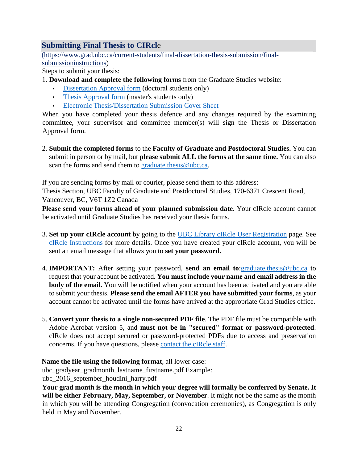## **Submitting Final Thesis to CIRcl**e

[\(https://www.grad.ubc.ca/current-students/final-dissertation-thesis-submission/final](https://www.grad.ubc.ca/current-students/final-dissertation-thesis-submission/final-submission-instructions)[submissioninstructions\)](https://www.grad.ubc.ca/current-students/final-dissertation-thesis-submission/final-submission-instructions)

Steps to submit your thesis:

- 1. **Download and complete the following forms** from the Graduate Studies website:
	- [Dissertation Approval form](https://www.grad.ubc.ca/forms/doctoral-dissertation-approval) (doctoral students only)
	- [Thesis Approval form](https://www.grad.ubc.ca/forms/masters-thesis-approval) [\(](https://www.grad.ubc.ca/forms/masters-thesis-approval)master's students only)
	- [Electronic Thesis/Dissertation Submission Cover Sheet](https://www.grad.ubc.ca/forms/thesis-dissertation-submission-cover-sheet)

When you have completed your thesis defence and any changes required by the examining committee, your supervisor and committee member(s) will sign the Thesis or Dissertation Approval form.

2. **Submit the completed forms** to the **Faculty of Graduate and Postdoctoral Studies.** You can submit in person or by mail, but **please submit ALL the forms at the same time.** You can also scan the forms and send them to graduate.thesis@ubc.ca.

If you are sending forms by mail or courier, please send them to this address:

Thesis Section, UBC Faculty of Graduate and Postdoctoral Studies, 170-6371 Crescent Road, Vancouver, BC, V6T 1Z2 Canada

**Please send your forms ahead of your planned submission date**. Your cIRcle account cannot be activated until Graduate Studies has received your thesis forms.

- 3. **Set up your cIRcle account** by going to the [UBC Library cIRcle User Registration](https://circle.ubc.ca/register) [p](https://circle.ubc.ca/register)age. See [cIRcle Instructions](https://www.grad.ubc.ca/current-students/final-dissertation-thesis-submission/circle-instructions) [f](https://www.grad.ubc.ca/current-students/final-dissertation-thesis-submission/circle-instructions)or more details. Once you have created your cIRcle account, you will be sent an email message that allows you to **set your password.**
- 4. **IMPORTANT:** After setting your password, **send an email to**:graduate.thesis@ubc.ca to request that your account be activated. **You must include your name and email address in the body of the email.** You will be notified when your account has been activated and you are able to submit your thesis. **Please send the email AFTER you have submitted your forms**, as your account cannot be activated until the forms have arrived at the appropriate Grad Studies office.
- 5. **Convert your thesis to a single non-secured PDF file**. The PDF file must be compatible with Adobe Acrobat version 5, and **must not be in "secured" format or password-protected**. cIRcle does not accept secured or password-protected PDFs due to access and preservation concerns. If you have questions, please [contact the cIRcle staff.](http://circle.ubc.ca/contact-us/#Questions_about_submitting_a_thesis_or_dissertation)

**Name the file using the following format**, all lower case:

ubc\_gradyear\_gradmonth\_lastname\_firstname.pdf Example:

ubc\_2016\_september\_houdini\_harry.pdf

**Your grad month is the month in which your degree will formally be conferred by Senate. It will be either February, May, September, or November**. It might not be the same as the month in which you will be attending Congregation (convocation ceremonies), as Congregation is only held in May and November.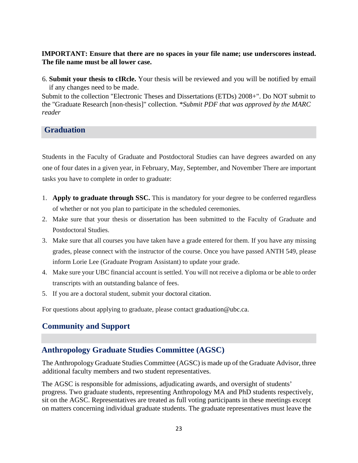#### **IMPORTANT: Ensure that there are no spaces in your file name; use underscores instead. The file name must be all lower case.**

6. **Submit your thesis to cIRcle.** Your thesis will be reviewed and you will be notified by email if any changes need to be made.

Submit to the collection "Electronic Theses and Dissertations (ETDs) 2008+". Do NOT submit to the "Graduate Research [non-thesis]" collection. *\*Submit PDF that was approved by the MARC reader*

**Graduation**

Students in the Faculty of Graduate and Postdoctoral Studies can have degrees awarded on any one of four dates in a given year, in February, May, September, and November There are important tasks you have to complete in order to graduate:

- 1. **Apply to graduate through SSC.** This is mandatory for your degree to be conferred regardless of whether or not you plan to participate in the scheduled ceremonies.
- 2. Make sure that your thesis or dissertation has been submitted to the Faculty of Graduate and Postdoctoral Studies.
- 3. Make sure that all courses you have taken have a grade entered for them. If you have any missing grades, please connect with the instructor of the course. Once you have passed ANTH 549, please inform Lorie Lee (Graduate Program Assistant) to update your grade.
- 4. Make sure your UBC financial account is settled. You will not receive a diploma or be able to order transcripts with an outstanding balance of fees.
- 5. If you are a doctoral student, submit your doctoral citation.

For questions about applying to graduate, please contact graduation@ubc.ca.

## **Community and Support**

## **Anthropology Graduate Studies Committee (AGSC)**

The Anthropology Graduate Studies Committee (AGSC) is made up of the Graduate Advisor, three additional faculty members and two student representatives.

The AGSC is responsible for admissions, adjudicating awards, and oversight of students' progress. Two graduate students, representing Anthropology MA and PhD students respectively, sit on the AGSC. Representatives are treated as full voting participants in these meetings except on matters concerning individual graduate students. The graduate representatives must leave the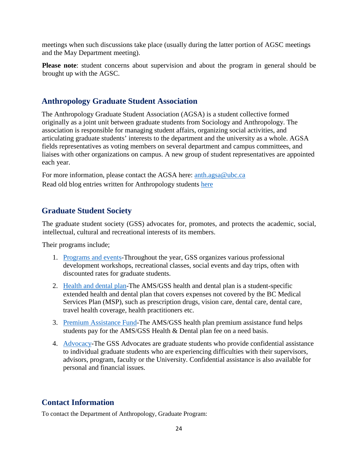meetings when such discussions take place (usually during the latter portion of AGSC meetings and the May Department meeting).

**Please note**: student concerns about supervision and about the program in general should be brought up with the AGSC.

## **Anthropology Graduate Student Association**

The Anthropology Graduate Student Association (AGSA) is a student collective formed originally as a joint unit between graduate students from Sociology and Anthropology. The association is responsible for managing student affairs, organizing social activities, and articulating graduate students' interests to the department and the university as a whole. AGSA fields representatives as voting members on several department and campus committees, and liaises with other organizations on campus. A new group of student representatives are appointed each year.

For more information, please contact the AGSA here: [anth.agsa@ubc.ca](https://www.mail.ubc.ca/owa/Anth.Head@ubc.ca/redir.aspx?C=wkSZ9yI0Yfr1DI6asQ0d2bUnSNzSpqh5stv-LNA5C22UKMd-A-fTCA..&URL=mailto%3aanth.agsa%40ubc.ca) Read old blog entries written for Anthropology students [here](https://ubcanthgrads.wordpress.com/)

## **Graduate Student Society**

The graduate student society (GSS) advocates for, promotes, and protects the academic, social, intellectual, cultural and recreational interests of its members.

Their programs include;

- 1. [Programs and events-T](http://gss.ubc.ca/events/)hroughout the year, GSS organizes various professional development workshops, recreational classes, social events and day trips, often with discounted rates for graduate students.
- 2. [Health and dental plan-T](http://gss.ubc.ca/health-dental/)he AMS/GSS health and dental plan is a student-specific extended health and dental plan that covers expenses not covered by the BC Medical Services Plan (MSP), such as prescription drugs, vision care, dental care, dental care, travel health coverage, health practitioners etc.
- 3. [Premium Assistance Fund-T](http://gss.ubc.ca/premium-assistance-fund/)he AMS/GSS health plan premium assistance fund helps students pay for the AMS/GSS Health & Dental plan fee on a need basis.
- 4. [Advocacy-T](http://gss.ubc.ca/advocacy/)he GSS Advocates are graduate students who provide confidential assistance to individual graduate students who are experiencing difficulties with their supervisors, advisors, program, faculty or the University. Confidential assistance is also available for personal and financial issues.

## **Contact Information**

To contact the Department of Anthropology, Graduate Program: